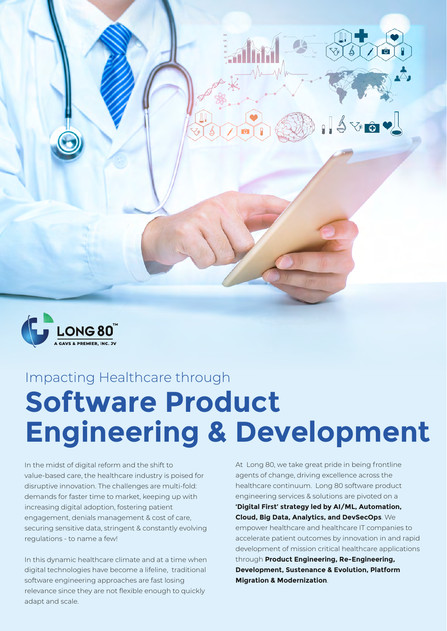



# Impacting Healthcare through **Software Product Engineering & Development**

In the midst of digital reform and the shift to value-based care, the healthcare industry is poised for disruptive innovation. The challenges are multi-fold: demands for faster time to market, keeping up with increasing digital adoption, fostering patient engagement, denials management & cost of care, securing sensitive data, stringent & constantly evolving regulations - to name a few!

In this dynamic healthcare climate and at a time when digital technologies have become a lifeline, traditional software engineering approaches are fast losing relevance since they are not flexible enough to quickly adapt and scale.

At Long 80, we take great pride in being frontline agents of change, driving excellence across the healthcare continuum. Long 80 software product engineering services & solutions are pivoted on a **'Digital First' strategy led by AI/ML, Automation, Cloud, Big Data, Analytics, and DevSecOps**. We empower healthcare and healthcare IT companies to accelerate patient outcomes by innovation in and rapid development of mission critical healthcare applications through **Product Engineering, Re-Engineering, Development, Sustenance & Evolution, Platform Migration & Modernization**.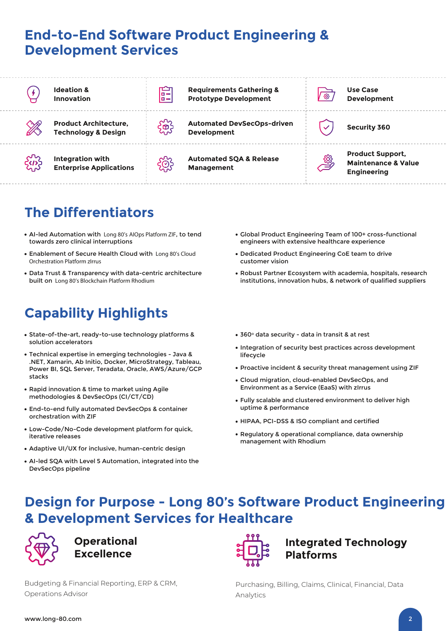### **End-to-End Software Product Engineering & Development Services**



**Ideation & Innovation**



**Product Architecture, Technology & Design**



**Integration with Enterprise Applications**



**Requirements Gathering & Prototype Development**

**Automated DevSecOps-driven**  Automated DevsecOps-driven<br>Development

**Automated SQA & Release Management**



**Use Case Development**

**Product Support, Maintenance & Value Engineering**

# **The Differentiators**

- AI-led Automation with **Long 80's AIOps Platform ZIF**, to tend towards zero clinical interruptions
- Enablement of Secure Health Cloud with **Long 80's Cloud Orchestration Platform zIrrus**
- Data Trust & Transparency with data-centric architecture built on **Long 80's Blockchain Platform Rhodium**

# **Capability Highlights**

- State-of-the-art, ready-to-use technology platforms & solution accelerators
- Technical expertise in emerging technologies Java & .NET, Xamarin, Ab Initio, Docker, MicroStrategy, Tableau, Power BI, SQL Server, Teradata, Oracle, AWS/Azure/GCP stacks
- Rapid innovation & time to market using Agile methodologies & DevSecOps (CI/CT/CD)
- End-to-end fully automated DevSecOps & container orchestration with ZIF
- Low-Code/No-Code development platform for quick, iterative releases
- Adaptive UI/UX for inclusive, human-centric design
- AI-led SQA with Level 5 Automation, integrated into the DevSecOps pipeline
- Global Product Engineering Team of 100+ cross-functional engineers with extensive healthcare experience
- Dedicated Product Engineering CoE team to drive customer vision
- Robust Partner Ecosystem with academia, hospitals, research institutions, innovation hubs, & network of qualified suppliers
- 360° data security data in transit & at rest
- Integration of security best practices across development lifecycle
- Proactive incident & security threat management using ZIF
- Cloud migration, cloud-enabled DevSecOps, and Environment as a Service (EaaS) with zIrrus
- Fully scalable and clustered environment to deliver high uptime & performance
- HIPAA, PCI-DSS & ISO compliant and certified
- Regulatory & operational compliance, data ownership management with Rhodium

## **Design for Purpose - Long 80's Software Product Engineering & Development Services for Healthcare**



**Operational Excellence**

Budgeting & Financial Reporting, ERP & CRM, Operations Advisor



#### **Integrated Technology Platforms**

Purchasing, Billing, Claims, Clinical, Financial, Data Analytics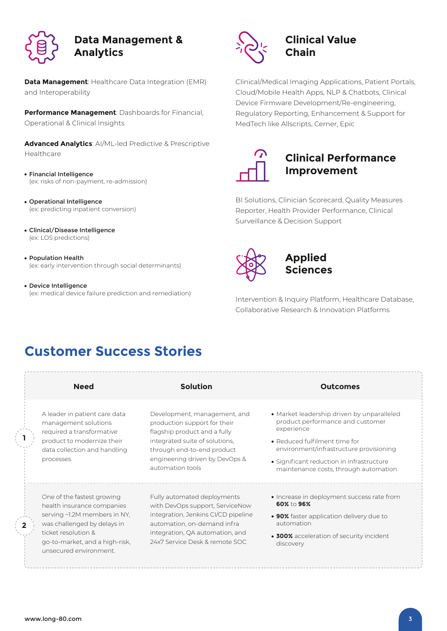

#### **Data Management & Analytics**

**Data Management**: Healthcare Data Integration (EMR) and Interoperability

**Performance Management**: Dashboards for Financial, Operational & Clinical Insights

**Advanced Analytics**: AI/ML-led Predictive & Prescriptive Healthcare

- Financial Intelligence (ex: risks of non-payment, re-admission)
- Operational Intelligence (ex: predicting inpatient conversion)
- Clinical/Disease Intelligence (ex: LOS predictions)
- Population Health (ex: early intervention through social determinants)
- Device Intelligence (ex: medical device failure prediction and remediation)



#### **Clinical Value Chain**

Clinical/Medical Imaging Applications, Patient Portals, Cloud/Mobile Health Apps, NLP & Chatbots, Clinical Device Firmware Development/Re-engineering, Regulatory Reporting, Enhancement & Support for MedTech like Allscripts, Cerner, Epic



#### **Clinical Performance Improvement**

BI Solutions, Clinician Scorecard, Quality Measures Reporter, Health Provider Performance, Clinical Surveillance & Decision Support



#### **Applied Sciences**

Intervention & Inquiry Platform, Healthcare Database, Collaborative Research & Innovation Platforms

## **Customer Success Stories**

| <b>Need</b>                                                                                                                                                                                                | <b>Solution</b>                                                                                                                                                                                                    | <b>Outcomes</b>                                                                                                                                                                                                                                                |
|------------------------------------------------------------------------------------------------------------------------------------------------------------------------------------------------------------|--------------------------------------------------------------------------------------------------------------------------------------------------------------------------------------------------------------------|----------------------------------------------------------------------------------------------------------------------------------------------------------------------------------------------------------------------------------------------------------------|
| A leader in patient care data<br>management solutions<br>required a transformative<br>product to modernize their<br>data collection and handling<br>processes.                                             | Development, management, and<br>production support for their<br>flagship product and a fully<br>integrated suite of solutions,<br>through end-to-end product<br>engineering driven by DevOps &<br>automation tools | • Market leadership driven by unparalleled<br>product performance and customer<br>experience<br>• Reduced fulfilment time for<br>environment/infrastructure provisioning<br>• Significant reduction in infrastructure<br>maintenance costs, through automation |
| One of the fastest growing<br>health insurance companies<br>serving ~1.2M members in NY,<br>was challenged by delays in<br>ticket resolution &<br>go-to-market, and a high-risk,<br>unsecured environment. | Fully automated deployments<br>with DevOps support, ServiceNow<br>integration, Jenkins CI/CD pipeline<br>automation, on-demand infra<br>integration, QA automation, and<br>24x7 Service Desk & remote SOC          | • Increase in deployment success rate from<br>60% to 96%<br>• 90% faster application delivery due to<br>automation<br>• 300% acceleration of security incident<br>discovery                                                                                    |

**1**

**2**